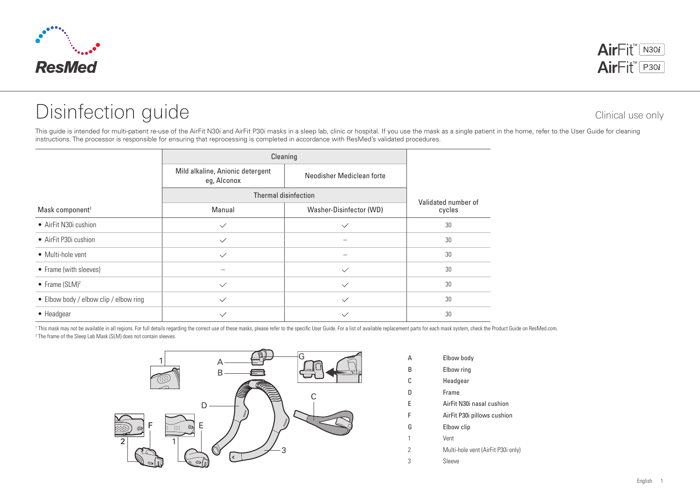

## Disinfection guide Clinical use only

This guide is intended for multi-patient re-use of the AirFit N30i and AirFit P30i masks in a sleep lab, clinic or hospital. If you use the mask as a single patient in the home, refer to the User Guide for cleaning instructions. The processor is responsible for ensuring that reprocessing is completed in accordance with ResMed's validated procedures.

|                                        | Cleaning                                                                     |                         |                     |
|----------------------------------------|------------------------------------------------------------------------------|-------------------------|---------------------|
|                                        | Mild alkaline, Anionic detergent<br>Neodisher Mediclean forte<br>eg, Alconox |                         | Validated number of |
|                                        | Thermal disinfection                                                         |                         |                     |
| Mask component <sup>1</sup>            | Manual                                                                       | Washer-Disinfector (WD) | cycles              |
| • AirFit N30i cushion                  | $\checkmark$                                                                 | $\checkmark$            | 30                  |
| • AirFit P30i cushion                  | $\checkmark$                                                                 |                         | 30                  |
| • Multi-hole vent                      | $\checkmark$                                                                 |                         | 30                  |
| • Frame (with sleeves)                 |                                                                              | $\checkmark$            | 30                  |
| • Frame $(SLM)^2$                      | $\checkmark$                                                                 | $\checkmark$            | 30                  |
| • Elbow body / elbow clip / elbow ring | $\checkmark$                                                                 | $\checkmark$            | 30                  |
| • Headgear                             |                                                                              |                         | 30                  |

<sup>1</sup> This mask may not be available in all regions. For full details regarding the correct use of these masks, please refer to the specific User Guide. For a list of available replacement parts for each mask system, check t 2 The frame of the Sleep Lab Mask (SLM) does not contain sleeves.



A Elbow body B Elbow ring C Headgear D Frame E AirFit N30i nasal cushion F AirFit P30i pillows cushion G Elbow clip 1 Vent 2 Multi-hole vent (AirFit P30i only) 3 Sleeve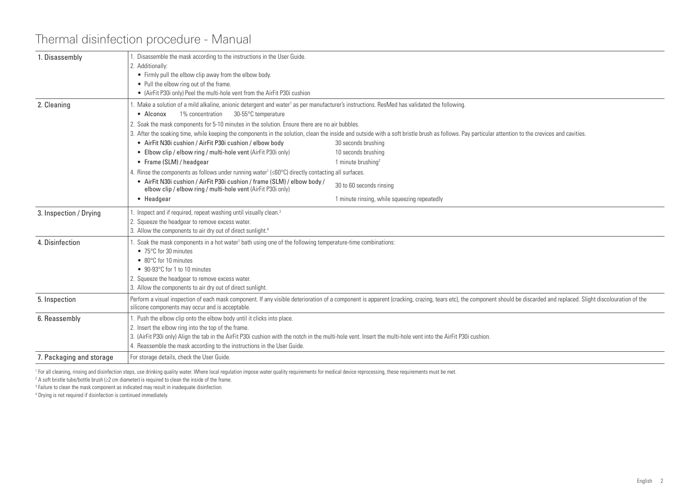## Thermal disinfection procedure - Manual

| 1. Disassembly           | . Disassemble the mask according to the instructions in the User Guide.                                                                                                                                                                                                      |                                              |  |  |  |  |  |
|--------------------------|------------------------------------------------------------------------------------------------------------------------------------------------------------------------------------------------------------------------------------------------------------------------------|----------------------------------------------|--|--|--|--|--|
|                          | 2. Additionally:                                                                                                                                                                                                                                                             |                                              |  |  |  |  |  |
|                          | • Firmly pull the elbow clip away from the elbow body.                                                                                                                                                                                                                       |                                              |  |  |  |  |  |
|                          | • Pull the elbow ring out of the frame.<br>• (AirFit P30i only) Peel the multi-hole vent from the AirFit P30i cushion                                                                                                                                                        |                                              |  |  |  |  |  |
|                          |                                                                                                                                                                                                                                                                              |                                              |  |  |  |  |  |
| 2. Cleaning              | . Make a solution of a mild alkaline, anionic detergent and water <sup>1</sup> as per manufacturer's instructions. ResMed has validated the following.                                                                                                                       |                                              |  |  |  |  |  |
|                          | $\bullet$ Alconox<br>1% concentration<br>30-55°C temperature                                                                                                                                                                                                                 |                                              |  |  |  |  |  |
|                          | 2. Soak the mask components for 5-10 minutes in the solution. Ensure there are no air bubbles.                                                                                                                                                                               |                                              |  |  |  |  |  |
|                          | 3. After the soaking time, while keeping the components in the solution, clean the inside and outside with a soft bristle brush as follows. Pay particular attention to the crevices and cavities.                                                                           |                                              |  |  |  |  |  |
|                          | • AirFit N30i cushion / AirFit P30i cushion / elbow body<br>• Elbow clip / elbow ring / multi-hole vent (AirFit P30i only)                                                                                                                                                   | 30 seconds brushing<br>10 seconds brushing   |  |  |  |  |  |
|                          | • Frame (SLM) / headgear                                                                                                                                                                                                                                                     | 1 minute brushing $2$                        |  |  |  |  |  |
|                          |                                                                                                                                                                                                                                                                              |                                              |  |  |  |  |  |
|                          | 4. Rinse the components as follows under running water <sup>1</sup> ( $\leq 60^{\circ}$ C) directly contacting all surfaces.                                                                                                                                                 |                                              |  |  |  |  |  |
|                          | • AirFit N30i cushion / AirFit P30i cushion / frame (SLM) / elbow body /<br>elbow clip / elbow ring / multi-hole vent (AirFit P30i only)                                                                                                                                     | 30 to 60 seconds rinsing                     |  |  |  |  |  |
|                          | • Headgear                                                                                                                                                                                                                                                                   | 1 minute rinsing, while squeezing repeatedly |  |  |  |  |  |
| 3. Inspection / Drying   | Inspect and if required, repeat washing until visually clean. <sup>3</sup>                                                                                                                                                                                                   |                                              |  |  |  |  |  |
|                          | 2. Squeeze the headgear to remove excess water.                                                                                                                                                                                                                              |                                              |  |  |  |  |  |
|                          | 3. Allow the components to air dry out of direct sunlight. <sup>4</sup>                                                                                                                                                                                                      |                                              |  |  |  |  |  |
| 4. Disinfection          | Soak the mask components in a hot water <sup>1</sup> bath using one of the following temperature-time combinations:                                                                                                                                                          |                                              |  |  |  |  |  |
|                          | • 75°C for 30 minutes                                                                                                                                                                                                                                                        |                                              |  |  |  |  |  |
|                          | • 80°C for 10 minutes                                                                                                                                                                                                                                                        |                                              |  |  |  |  |  |
|                          | • 90-93°C for 1 to 10 minutes                                                                                                                                                                                                                                                |                                              |  |  |  |  |  |
|                          | 2. Squeeze the headgear to remove excess water.                                                                                                                                                                                                                              |                                              |  |  |  |  |  |
|                          | 3. Allow the components to air dry out of direct sunlight.                                                                                                                                                                                                                   |                                              |  |  |  |  |  |
| 5. Inspection            | Perform a visual inspection of each mask component. If any visible deterioration of a component is apparent (cracking, crazing, tears etc), the component should be discarded and replaced. Slight discolouration of the<br>silicone components may occur and is acceptable. |                                              |  |  |  |  |  |
| 6. Reassembly            | 1. Push the elbow clip onto the elbow body until it clicks into place.                                                                                                                                                                                                       |                                              |  |  |  |  |  |
|                          | 2. Insert the elbow ring into the top of the frame.                                                                                                                                                                                                                          |                                              |  |  |  |  |  |
|                          | 3. (AirFit P30i only) Align the tab in the AirFit P30i cushion with the notch in the multi-hole vent. Insert the multi-hole vent into the AirFit P30i cushion.                                                                                                               |                                              |  |  |  |  |  |
|                          | 4. Reassemble the mask according to the instructions in the User Guide.                                                                                                                                                                                                      |                                              |  |  |  |  |  |
| 7. Packaging and storage | For storage details, check the User Guide.                                                                                                                                                                                                                                   |                                              |  |  |  |  |  |

<sup>1</sup> For all cleaning, rinsing and disinfection steps, use drinking quality water. Where local regulation impose water quality requirements for medical device reprocessing, these requirements must be met.

2 A soft bristle tube/bottle brush (≥2 cm diameter) is required to clean the inside of the frame.

3 Failure to clean the mask component as indicated may result in inadequate disinfection.

4 Drying is not required if disinfection is continued immediately.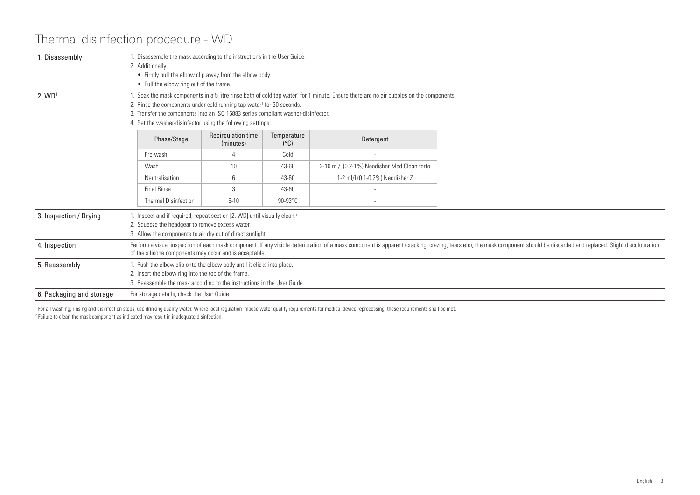## Thermal disinfection procedure - WD

| 1. Disassembly           | Disassemble the mask according to the instructions in the User Guide.<br>2. Additionally:<br>• Firmly pull the elbow clip away from the elbow body.<br>• Pull the elbow ring out of the frame.                                                                                                                                                                                            |                                            |                              |                                              |  |  |
|--------------------------|-------------------------------------------------------------------------------------------------------------------------------------------------------------------------------------------------------------------------------------------------------------------------------------------------------------------------------------------------------------------------------------------|--------------------------------------------|------------------------------|----------------------------------------------|--|--|
| 2. WD <sup>1</sup>       | Soak the mask components in a 5 litre rinse bath of cold tap water <sup>1</sup> for 1 minute. Ensure there are no air bubbles on the components.<br>2. Rinse the components under cold running tap water <sup>1</sup> for 30 seconds.<br>3. Transfer the components into an ISO 15883 series compliant washer-disinfector.<br>4. Set the washer-disinfector using the following settings: |                                            |                              |                                              |  |  |
|                          | Phase/Stage                                                                                                                                                                                                                                                                                                                                                                               | <b>Recirculation time</b><br>(minutes)     | Temperature<br>$(^{\circ}C)$ | Detergent                                    |  |  |
|                          | Pre-wash                                                                                                                                                                                                                                                                                                                                                                                  |                                            | Cold                         |                                              |  |  |
|                          | Wash                                                                                                                                                                                                                                                                                                                                                                                      | 10 <sup>°</sup>                            | 43-60                        | 2-10 ml/l (0.2-1%) Neodisher MediClean forte |  |  |
|                          | Neutralisation                                                                                                                                                                                                                                                                                                                                                                            | $\sqrt{6}$                                 | 43-60                        | 1-2 ml/l (0.1-0.2%) Neodisher Z              |  |  |
|                          | <b>Final Rinse</b>                                                                                                                                                                                                                                                                                                                                                                        | 3                                          | $43 - 60$                    |                                              |  |  |
|                          | <b>Thermal Disinfection</b>                                                                                                                                                                                                                                                                                                                                                               | $5 - 10$                                   | $90-93^{\circ}$ C            |                                              |  |  |
| 3. Inspection / Drying   | Inspect and if required, repeat section [2. WD] until visually clean. <sup>2</sup><br>2. Squeeze the headgear to remove excess water.<br>3. Allow the components to air dry out of direct sunlight.                                                                                                                                                                                       |                                            |                              |                                              |  |  |
| 4. Inspection            | Perform a visual inspection of each mask component. If any visible deterioration of a mask component is apparent (cracking, crazing, tears etc), the mask component should be discarded and replaced. Slight discolouration<br>of the silicone components may occur and is acceptable.                                                                                                    |                                            |                              |                                              |  |  |
| 5. Reassembly            | Push the elbow clip onto the elbow body until it clicks into place.<br>2. Insert the elbow ring into the top of the frame.<br>3. Reassemble the mask according to the instructions in the User Guide.                                                                                                                                                                                     |                                            |                              |                                              |  |  |
| 6. Packaging and storage |                                                                                                                                                                                                                                                                                                                                                                                           | For storage details, check the User Guide. |                              |                                              |  |  |

<sup>1</sup> For all washing, rinsing and disinfection steps, use drinking quality water. Where local regulation impose water quality requirements for medical device reprocessing, these requirements shall be met. 2 Failure to clean the mask component as indicated may result in inadequate disinfection.